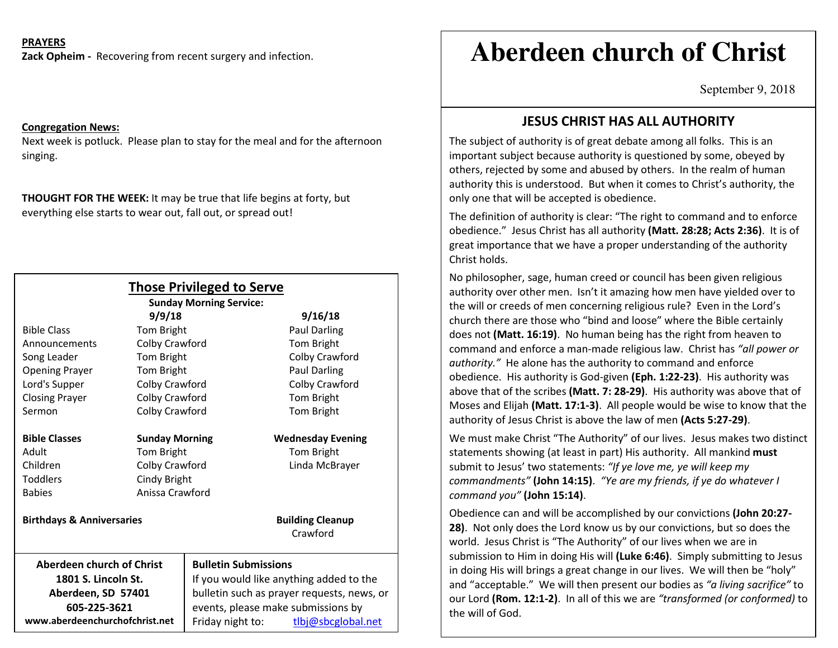### **PRAYERS**

**Zack Opheim -** Recovering from recent surgery and infection.

#### **Congregation News:**

Next week is potluck. Please plan to stay for the meal and for the afternoon singing.

**THOUGHT FOR THE WEEK:** It may be true that life begins at forty, but everything else starts to wear out, fall out, or spread out!

| <b>Those Privileged to Serve</b><br><b>Sunday Morning Service:</b> |                       |                                            |                                     |
|--------------------------------------------------------------------|-----------------------|--------------------------------------------|-------------------------------------|
|                                                                    | 9/9/18                |                                            | 9/16/18                             |
| <b>Bible Class</b>                                                 | Tom Bright            |                                            | <b>Paul Darling</b>                 |
| Announcements                                                      | Colby Crawford        |                                            | Tom Bright                          |
| Song Leader                                                        | Tom Bright            |                                            | Colby Crawford                      |
| <b>Opening Prayer</b>                                              | Tom Bright            |                                            | Paul Darling                        |
| Lord's Supper                                                      | Colby Crawford        |                                            | Colby Crawford                      |
| <b>Closing Prayer</b>                                              | Colby Crawford        |                                            | Tom Bright                          |
| Sermon                                                             | Colby Crawford        |                                            | Tom Bright                          |
| <b>Bible Classes</b>                                               | <b>Sunday Morning</b> |                                            | <b>Wednesday Evening</b>            |
| Adult                                                              | Tom Bright            |                                            | Tom Bright                          |
| Children                                                           | Colby Crawford        |                                            | Linda McBrayer                      |
| <b>Toddlers</b>                                                    | Cindy Bright          |                                            |                                     |
| <b>Babies</b>                                                      | Anissa Crawford       |                                            |                                     |
| <b>Birthdays &amp; Anniversaries</b>                               |                       |                                            | <b>Building Cleanup</b><br>Crawford |
| Aberdeen church of Christ                                          |                       | <b>Bulletin Submissions</b>                |                                     |
| 1801 S. Lincoln St.                                                |                       | If you would like anything added to the    |                                     |
| Aberdeen, SD 57401                                                 |                       | bulletin such as prayer requests, news, or |                                     |
| 605-225-3621                                                       |                       | events, please make submissions by         |                                     |
| www.aberdeenchurchofchrist.net                                     |                       | Friday night to:                           | tlbj@sbcglobal.net                  |

# **Aberdeen church of Christ**

September 9, 2018

## **JESUS CHRIST HAS ALL AUTHORITY**

The subject of authority is of great debate among all folks. This is an important subject because authority is questioned by some, obeyed by others, rejected by some and abused by others. In the realm of human authority this is understood. But when it comes to Christ's authority, the only one that will be accepted is obedience.

The definition of authority is clear: "The right to command and to enforce obedience." Jesus Christ has all authority **(Matt. 28:28; Acts 2:36)**. It is of great importance that we have a proper understanding of the authority Christ holds.

No philosopher, sage, human creed or council has been given religious authority over other men. Isn't it amazing how men have yielded over to the will or creeds of men concerning religious rule? Even in the Lord's church there are those who "bind and loose" where the Bible certainly does not **(Matt. 16:19)**. No human being has the right from heaven to command and enforce a man-made religious law. Christ has *"all power or authority."* He alone has the authority to command and enforce obedience. His authority is God-given **(Eph. 1:22-23)**. His authority was above that of the scribes **(Matt. 7: 28-29)**. His authority was above that of Moses and Elijah **(Matt. 17:1-3)**. All people would be wise to know that the authority of Jesus Christ is above the law of men **(Acts 5:27-29)**.

We must make Christ "The Authority" of our lives. Jesus makes two distinct statements showing (at least in part) His authority. All mankind **must** submit to Jesus' two statements: *"If ye love me, ye will keep my commandments"* **(John 14:15)**. *"Ye are my friends, if ye do whatever I command you"* **(John 15:14)**.

Obedience can and will be accomplished by our convictions **(John 20:27- 28)**. Not only does the Lord know us by our convictions, but so does the world. Jesus Christ is "The Authority" of our lives when we are in submission to Him in doing His will **(Luke 6:46)**. Simply submitting to Jesus in doing His will brings a great change in our lives. We will then be "holy" and "acceptable." We will then present our bodies as *"a living sacrifice"* to our Lord **(Rom. 12:1-2)**. In all of this we are *"transformed (or conformed)* to the will of God.